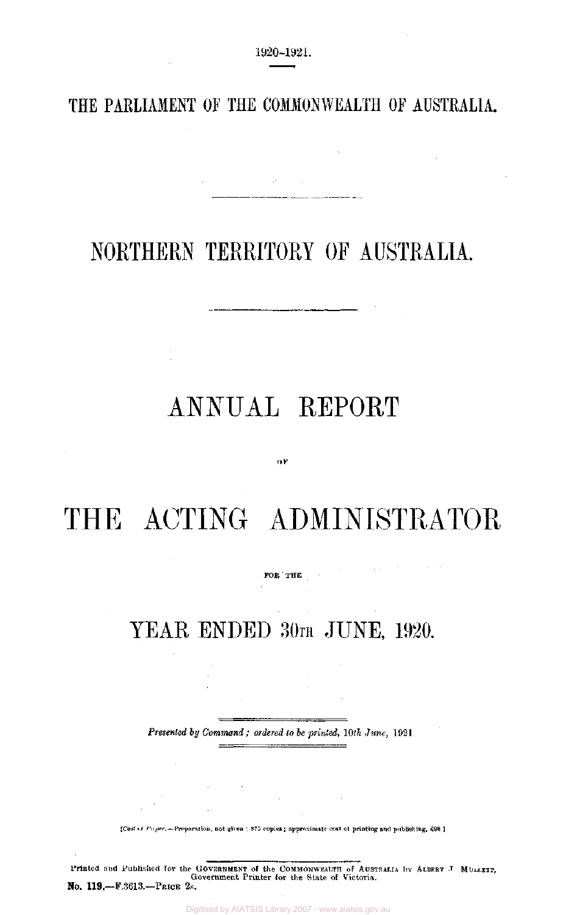# **THE PARLIAMENT OF THE COMMONWEALTH OF AUSTRALIA.**

# NORTHERN TERRITORY OF AUSTRALIA.

 $-$ 

# ANNUAL REPORT

# THE ACTING ADMINISTRATOR

OF

FOR THE

 $\sim 10^{-11}$ 

# YEAR ENDED 30TH JUNE, 1920.

*Presented by Command ; ordered to be printed, 10th June,* 1921.

*[Cost of Paper,*—Preparation, not given ' 875 copies ; approximate cost, of printing and publishing, £98J

Printed and Published for the GOVERNMENT of the COMMONWEALTH of AUSTRALIA by ALBERT J MULLETT,<br>Government Printer for the State of Victoria. No. 119—F.3613.—PRICE 2S.

Digitised by AIATSIS Library 2007 - www.aiatsis.gov.au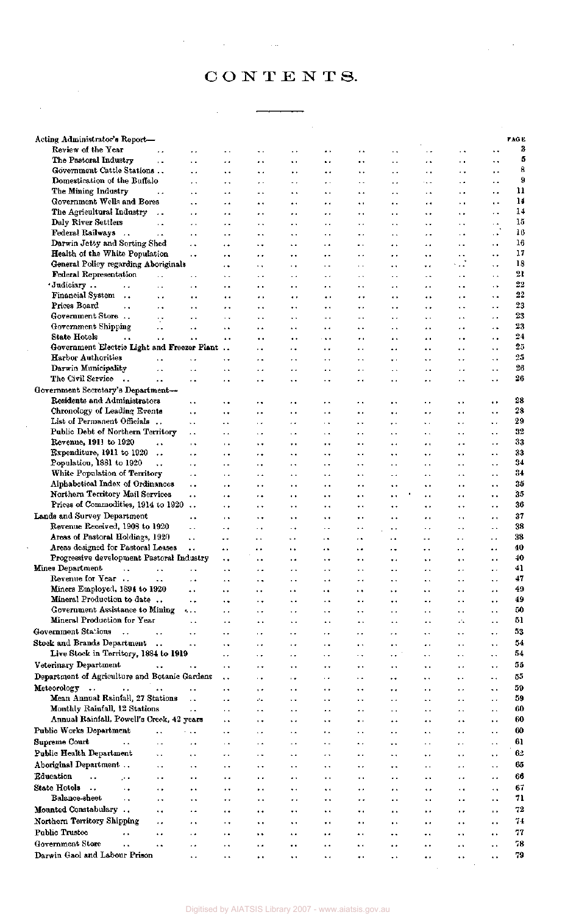# CONTENTS.

 $\mathcal{L}_{\text{max}}$  ,  $\mathcal{L}_{\text{max}}$ 

 $\label{eq:2.1} \frac{1}{\sqrt{2}}\sum_{i=1}^n\frac{1}{\sqrt{2}}\left(\frac{1}{\sqrt{2}}\sum_{i=1}^n\frac{1}{\sqrt{2}}\sum_{i=1}^n\frac{1}{\sqrt{2}}\sum_{i=1}^n\frac{1}{\sqrt{2}}\sum_{i=1}^n\frac{1}{\sqrt{2}}\sum_{i=1}^n\frac{1}{\sqrt{2}}\sum_{i=1}^n\frac{1}{\sqrt{2}}\sum_{i=1}^n\frac{1}{\sqrt{2}}\sum_{i=1}^n\frac{1}{\sqrt{2}}\sum_{i=1}^n\frac{1}{\sqrt{2$ 

| Acting Administrator's Report-                                |                            |                                              |                                              |                                              |                             |                      |                             |                                              |                                              |                                              |                                                | PAG <sub>K</sub> |
|---------------------------------------------------------------|----------------------------|----------------------------------------------|----------------------------------------------|----------------------------------------------|-----------------------------|----------------------|-----------------------------|----------------------------------------------|----------------------------------------------|----------------------------------------------|------------------------------------------------|------------------|
| Review of the Year                                            | . .                        | . .                                          | . .                                          | . .                                          | . .                         | .,                   | $\cdot$                     | ٠.                                           | . .                                          | . .                                          | ٠.                                             |                  |
| The Pastoral Industry                                         | μ.                         | $\ddot{\phantom{0}}$                         | $\ddot{\phantom{1}}$                         | . .                                          | $\ddot{\phantom{1}}$        | ٠.                   | ٠.                          | . .                                          | . .                                          | $\ddot{\phantom{1}}$                         | $\ddotsc$                                      |                  |
| Government Cattle Stations                                    |                            | $\ddot{\phantom{1}}$                         | $\ddot{\phantom{1}}$                         | ٠.                                           | ь.                          | ٠.                   | $\ddot{\phantom{1}}$        | . .                                          | $\ddot{\phantom{1}}$                         | $\ddot{\phantom{1}}$ .                       | $\ddot{\phantom{1}}$                           |                  |
| Domestication of the Buffalo                                  |                            | $\ddot{\phantom{0}}$                         | $\ddot{\phantom{1}}$                         | . .                                          | $\ddot{\phantom{1}}$        | $\ddot{\phantom{0}}$ | $\cdot$ .                   | . .                                          | $\sim$                                       | - 4                                          | $\ddot{\phantom{0}}$                           |                  |
| The Mining Industry<br><b>Government Wells and Bores</b>      | $\ddot{\phantom{0}}$       | $\ddot{\phantom{0}}$                         | $\ddot{\phantom{1}}$                         | . .                                          | $\ddot{\phantom{1}}$        | $\ddot{\phantom{1}}$ | ٠.                          | . .                                          | . .                                          | . .                                          | $\ddot{\phantom{0}}$                           |                  |
| The Agricultural Industry                                     | $\ddot{\phantom{1}}$       | $\ddot{\phantom{1}}$<br>$\ddot{\phantom{0}}$ | . .<br>$\ddot{\phantom{1}}$                  | $\ddot{\phantom{1}}$<br>$\ddot{\phantom{1}}$ | $\ddot{\phantom{1}}$        | ٠.<br>. .            | ٠.                          | ٠.<br>. .                                    | ٠.<br>$\ddot{\phantom{1}}$                   | $\ddot{\phantom{1}}$<br>$\ddot{\phantom{0}}$ | $\ddot{\phantom{1}}$ .<br>$\ddot{\phantom{1}}$ |                  |
| Daly River Settlers                                           | . .                        | $\ddot{\phantom{0}}$                         | . .                                          | $\ddot{\phantom{1}}$                         | . .<br>. .                  | $\ddot{\phantom{1}}$ | $\ddot{\phantom{1}}$<br>٠.  | . .                                          | $\ddot{\phantom{1}}$                         | $\ddot{\phantom{1}}$                         | $\ddot{\phantom{1}}$                           |                  |
| Federal Railways<br>$\dddot{\phantom{0}}$                     | $\ddot{\phantom{1}}$       | $\ddot{\phantom{1}}$                         |                                              | ٠.                                           | $\ddot{\phantom{1}}$        | ٠.                   | ٠.                          | ٠.                                           | $\ddot{\phantom{0}}$                         | $\ddot{\phantom{1}}$                         | $\cdot$ .                                      |                  |
| Darwin Jetty and Sorting Shed                                 |                            | $\ddotsc$                                    | $\ddot{\phantom{0}}$                         | $\ddot{\phantom{0}}$                         | $\ddot{\phantom{1}}$        | . .                  | . .                         | $\ddot{\phantom{0}}$                         | $\ddot{\phantom{1}}$                         | $\ddot{\phantom{0}}$                         | $\ddot{\phantom{1}}$                           |                  |
| Health of the White Population                                |                            | $\ddotsc$                                    | $\cdot$ .                                    | $\ddot{\phantom{0}}$                         |                             | μ.                   | . .                         | $\ddot{\phantom{0}}$                         | $\ddotsc$                                    | $\ddot{\phantom{1}}$                         | $\ddot{\phantom{0}}$                           |                  |
| General Policy regarding Aboriginals                          |                            |                                              | $\ddot{\phantom{0}}$                         | ٠,                                           | $\ddot{\phantom{0}}$        | . .                  | . .                         | $\ddot{\phantom{1}}$                         | $\ddot{\phantom{1}}$                         | ٠.,                                          | ٠.                                             |                  |
| Federal Representation                                        | $\ddot{\phantom{0}}$       | $\sim$                                       | ٠.                                           | $\ddot{\phantom{1}}$                         | $\cdot$ $\cdot$             | $\sim$ 4             | $\ddot{\phantom{1}}$        | . .                                          | $\ddot{\phantom{1}}$                         | $\ddot{\phantom{1}}$                         | $\ddot{\phantom{1}}$                           |                  |
| ·Judiciary<br>$\ddot{\phantom{0}}$                            | $\ddot{\phantom{0}}$       | $\ddot{\phantom{1}}$                         | $\ddot{\phantom{1}}$                         | $\ddot{\phantom{0}}$                         | $\ddot{\phantom{0}}$        | . .                  | . .                         | . .                                          | $\ddot{\phantom{1}}$                         | $\ddot{\phantom{1}}$                         | $\ddot{\phantom{1}}$                           |                  |
| Financial System                                              | $\ddot{\phantom{0}}$       |                                              |                                              |                                              | $\ddot{\phantom{0}}$        | ٠.                   | . .                         |                                              | $\ddot{\phantom{1}}$                         | $\ddot{\phantom{1}}$                         | ٠.                                             |                  |
| Prices Board<br>٠.                                            | $\ddot{\phantom{1}}$       | ٠.                                           |                                              | $\ddot{\phantom{1}}$                         | ٠.                          | $\ddot{\phantom{1}}$ |                             | ٠.                                           | $\ddot{\phantom{1}}$                         | . .                                          | $\ddot{\phantom{1}}$                           |                  |
| Government Store<br>Government Shipping                       | $\ddot{\phantom{0}}$       |                                              | . .                                          | $\ddot{\phantom{0}}$                         | $\ddot{\phantom{0}}$        | $\ddot{\phantom{0}}$ | ٠.                          | . .                                          | $\ddotsc$                                    | $\ddot{\phantom{1}}$                         | . .                                            |                  |
| State Hotels<br>$\ddot{\phantom{a}}$                          | ٠.<br>$\ddot{\phantom{a}}$ | $\ddotsc$<br>$\ddot{\phantom{0}}$            | ٠.                                           | $\ddot{\phantom{1}}$                         | $\ddot{\phantom{1}}$        | ٠.                   | ٠.                          | ٠.                                           | ٠.                                           | $\ddot{\phantom{1}}$                         | ٠.                                             |                  |
| Government Electric Light and Freezer Plant                   |                            |                                              | $\ddot{\phantom{1}}$<br>$\ddot{\phantom{2}}$ | $\ddot{\phantom{0}}$<br>$\ddot{\phantom{1}}$ | $\ddot{\phantom{0}}$<br>. . | $\ddotsc$<br>        | . .<br>$\ddot{\phantom{1}}$ | $\ddot{\phantom{1}}$<br>$\ddot{\phantom{1}}$ | $\ddot{\phantom{1}}$<br>$\ddot{\phantom{0}}$ | $\ddot{\phantom{0}}$<br>$\ddot{\phantom{1}}$ | . .<br>$\ddot{\phantom{0}}$                    |                  |
| <b>Harbor Authorities</b>                                     | ٠.                         | $\ddot{\phantom{0}}$                         |                                              | ٠.                                           | $\ddot{\phantom{1}}$        | . .                  | ٠.                          | $\ddot{\phantom{1}}$                         | $\ddot{\phantom{1}}$                         | $\ddot{\phantom{1}}$                         | ٠.                                             |                  |
| Darwin Municipality                                           | $\ddot{\phantom{1}}$       | . .                                          | .,                                           | $\ddot{\phantom{0}}$                         |                             | .,                   | . .                         | $\ddot{\phantom{1}}$                         | $\ddot{\phantom{1}}$                         | $\ddot{\phantom{0}}$                         | ٠.                                             |                  |
| The Civil Service<br>$\ddot{\phantom{a}}$                     |                            | $\ddot{\phantom{0}}$                         | $\bullet\ \bullet$                           | $\ddot{\phantom{1}}$                         | ٠.                          | ٠.                   | ٠.                          | $\ddot{\phantom{1}}$                         | $\ddot{\phantom{0}}$                         | $\ddot{\phantom{1}}$                         | $\ddot{\phantom{0}}$                           |                  |
| Government Secretary's Department-                            |                            |                                              |                                              |                                              |                             |                      |                             |                                              |                                              |                                              |                                                |                  |
| Residents and Administrators                                  |                            | . .                                          | ٠.                                           | ٠.                                           |                             | μ.                   | . .                         | $\ddot{\phantom{1}}$                         | . .                                          | ٠.                                           | ٠.                                             |                  |
| Chronology of Leading Events                                  |                            | $\ddot{\phantom{1}}$                         |                                              |                                              | ٠.                          | $\ddot{\phantom{1}}$ | ٠.                          | $\ddot{\phantom{0}}$                         | $\ddot{\phantom{0}}$                         | $\ddot{\phantom{1}}$                         |                                                |                  |
| List of Permanent Officials                                   |                            | $\ddot{\phantom{1}}$                         | $\ddot{\phantom{1}}$                         | $\ddot{\phantom{0}}$                         | ٠.                          | ÷.                   | $\ddot{\phantom{1}}$        | $\ddot{\phantom{1}}$                         | $\ddotsc$                                    | $\ddot{\phantom{1}}$                         | $\bullet$ .                                    |                  |
| Public Debt of Northern Territory                             |                            | $\ddot{\phantom{0}}$                         | $\ddot{\phantom{1}}$                         | $\ddot{\phantom{1}}$                         | ٠.                          | $\ddot{\phantom{1}}$ | $\ddot{\phantom{1}}$        | $\ddot{\phantom{1}}$                         | $\ddot{\phantom{1}}$                         | $\ddot{\phantom{0}}$                         | $\ddot{\phantom{0}}$                           |                  |
| Revenue, 1911 to 1920                                         | $\ddot{\phantom{a}}$       | $\ddot{\phantom{1}}$                         | $\ddot{\phantom{1}}$                         | $\ddot{\phantom{0}}$                         |                             | $\ddot{\phantom{0}}$ | . .                         | $\ddot{\phantom{0}}$                         | $\bullet$ $\bullet$                          | . .                                          | . .                                            |                  |
| Expenditure, 1911 to 1920                                     | $\ddot{\phantom{0}}$       | $\ddot{\phantom{0}}$                         | . .                                          |                                              | $\ddot{\phantom{1}}$        | ٠.                   | $\ddot{\phantom{1}}$        | $\ddot{\phantom{1}}$                         | $\ddot{\phantom{1}}$                         |                                              | $\ddot{\phantom{1}}$                           |                  |
| Population, 1881 to 1920<br>White Population of Territory     | $\ddotsc$                  | . .                                          | . .                                          | . .                                          | . .                         | $\ddot{\phantom{1}}$ | $\ddot{\phantom{1}}$        | $\ddot{\phantom{1}}$                         | $\ddot{\phantom{0}}$                         | . .                                          | $\ddot{\phantom{1}}$                           |                  |
| Alphabetical Index of Ordinances                              |                            | $\ddot{\phantom{1}}$<br>$\ddot{\phantom{a}}$ | $\ddot{\phantom{1}}$                         | $\ddot{\phantom{1}}$                         | . .                         | ٠.                   | ь,                          | $\ddot{\phantom{1}}$                         | $\ddot{\phantom{1}}$                         | $\ddot{\phantom{1}}$                         | $\ddot{\phantom{1}}$                           |                  |
| Northern Territory Mail Services                              |                            | $\ddot{\phantom{a}}$                         | $\sim$ $\sim$<br>                            | $\ddot{\phantom{1}}$<br>                     | $\ddot{\phantom{1}}$<br>. . | ٠.<br>٠.             | <br>$\ddot{\phantom{0}}$    | $\ddot{\phantom{1}}$<br>$\ddot{\phantom{1}}$ | $\bullet$ $\bullet$<br>$\ddot{\phantom{1}}$  | $\ddot{\phantom{1}}$<br>$\ddot{\phantom{0}}$ | $\ddot{\phantom{1}}$<br>$\ddot{\phantom{0}}$   |                  |
| Prices of Commodities, 1914 to 1920                           |                            | $\ddot{\phantom{a}}$                         | $\ddot{\phantom{0}}$                         | $\ddot{\phantom{1}}$                         | ٠.                          | $\ddot{\phantom{0}}$ |                             | $\ddot{\phantom{0}}$                         | $\ddot{\phantom{1}}$                         | $\ddot{\phantom{1}}$                         |                                                |                  |
| Lands and Survey Department                                   |                            |                                              | $\ddot{\phantom{1}}$                         | $\ddotsc$                                    | ٠.                          | $\ddot{\phantom{1}}$ | ٠.                          | $\ddot{\phantom{1}}$                         | $\bullet$ .                                  | ٠,                                           | $\ddot{\phantom{1}}$                           |                  |
| Revenue Received, 1908 to 1920                                |                            | н.                                           | $\ddot{\phantom{1}}$                         | $\ddot{\phantom{1}}$                         | $\ddotsc$                   | $\ddot{\phantom{1}}$ | $\ddot{\phantom{1}}$        | $\ddot{\phantom{0}}$                         | ٠.                                           | $\ddot{\phantom{0}}$                         | $\ddot{\phantom{1}}$                           |                  |
| Areas of Pastoral Holdings, 1920                              |                            | Ω.                                           | ٠.                                           | . .                                          | $\ddot{\phantom{1}}$        | $\cdot$ .            | $\sim$ $\sim$               | ٠.                                           | . .                                          | $\ddotsc$                                    | $\ddot{\phantom{1}}$                           |                  |
| Areas designed for Pastoral Leases                            |                            | $\ddot{\phantom{0}}$                         | $\ddot{\phantom{1}}$                         | . .                                          | $\ddot{\phantom{1}}$        | $\cdot$ .            |                             |                                              | . .                                          | $\ddot{\phantom{1}}$                         | $\ddot{\phantom{1}}$                           |                  |
| Progressive development Pastoral Industry                     |                            |                                              | $\ddot{\phantom{0}}$                         | $\ddot{\phantom{1}}$                         | . .                         | ٠.                   | $\ddot{\phantom{1}}$        | $\ddot{\phantom{0}}$                         | $\ddot{\phantom{0}}$                         | $\ddot{\phantom{1}}$                         | ٠.                                             |                  |
| Mines Department                                              |                            |                                              |                                              | . .                                          |                             |                      |                             |                                              |                                              |                                              |                                                |                  |
| Revenue for Year.                                             | $\ddot{\phantom{a}}$       | $\ddot{\phantom{0}}$                         | $\ddot{\phantom{1}}$                         | ۰,                                           | .,                          | ٠.                   | ٠.                          | $\ddot{\phantom{1}}$                         | $\ddot{\phantom{1}}$                         | ٠.                                           | $\ddot{\phantom{0}}$                           |                  |
| Miners Employed, 1894 to 1920                                 |                            | $\ddot{\phantom{0}}$                         | ٠.                                           |                                              | ٠.                          | ٠.                   | $\ddot{\phantom{1}}$        | . .                                          | ٠.                                           | . .                                          |                                                |                  |
| Mineral Production to date<br>Government Assistance to Mining |                            | $\ddot{\phantom{a}}$                         | ٠.                                           | $\ddotsc$                                    | $\ddot{\phantom{1}}$        | $\ddot{\phantom{1}}$ | . .                         | $\ddot{\phantom{1}}$                         |                                              | $\ddot{\phantom{1}}$                         | ٠.                                             |                  |
| Mineral Production for Year                                   |                            | $\ddot{\mathbf{z}}$                          | $\ddot{\phantom{a}}$                         | $\ddot{\phantom{1}}$                         | $\ddot{\phantom{1}}$        | $\ddot{\phantom{1}}$ |                             | $\ddot{\phantom{1}}$                         | . .                                          | х.<br>τ'n,                                   | $\ddot{\phantom{1}}$                           |                  |
| Government Stations<br>$\sim$                                 | $\ddot{\phantom{a}}$       | $\ddot{\phantom{a}}$                         | $\ddot{\phantom{0}}$                         | $\ddot{\phantom{0}}$                         | $\ddot{\phantom{0}}$        | ٠.                   |                             | $\ddot{\phantom{1}}$                         | $\ddot{\phantom{1}}$                         |                                              | . .                                            |                  |
| Stock and Brands Department                                   | $\cdot$                    |                                              | ٠.                                           | $\ddot{\phantom{1}}$                         | ٠.                          | . .                  | .,                          | . .                                          |                                              | $\ddot{\phantom{1}}$                         | . .                                            |                  |
| Live Stock in Territory, 1884 to 1919                         |                            | $\ddot{\phantom{1}}$                         | ٠.<br>                                       | $\ddot{\phantom{0}}$<br>. .                  | ٠.<br>k.                    | ٠.<br>. .            | . .<br>٠.                   | .,<br>٠.                                     | $\ddot{\phantom{1}}$<br>٠.                   | $\ddot{\phantom{0}}$<br>٠.                   | ٠.<br>٠.                                       |                  |
| Veterinary Department                                         | $\ddot{\phantom{a}}$       | . .                                          | . .                                          | $\sim$                                       | ٠.                          |                      |                             | ٠.                                           | ٠.                                           | ٠.                                           | ٠.                                             |                  |
| Department of Agriculture and Botanic Gardens                 |                            |                                              | $\ddot{\phantom{1}}$                         | $\ddot{\phantom{0}}$                         | ٠.                          | $\ddot{\phantom{0}}$ | $\ddot{\phantom{1}}$        | ٠.                                           | ٠.                                           | $\ddot{\phantom{1}}$                         | ٠.                                             |                  |
| Meteorology $\ldots$<br>$\sim$                                | $\ddot{\phantom{a}}$       |                                              | $\ddot{\phantom{1}}$                         | $\ddot{\phantom{1}}$                         | . .                         |                      | ٠.                          | $\ddot{\phantom{0}}$                         | $\ddot{\phantom{0}}$                         | . .                                          | $\ddot{\phantom{0}}$                           |                  |
| Mean Annual Rainfall, 27 Stations                             |                            | $\ddot{\phantom{0}}$                         | ٠.                                           | لمائم                                        | ٠.                          | ٠.                   | . .                         | $\ddot{\phantom{0}}$                         | $\ddot{\phantom{1}}$                         | ٠.                                           | . .                                            |                  |
| Monthly Rainfall, 12 Stations                                 |                            | $\ddot{\phantom{0}}$                         | $\ddot{\phantom{1}}$                         | $\ddot{\phantom{1}}$                         | ٠.                          |                      | ٠.                          | $\ddot{\phantom{0}}$                         | $\ddot{\phantom{1}}$                         | ٠.                                           | ٠.                                             |                  |
| Annual Rainfall, Powell's Creek, 42 years                     |                            |                                              | $\ddot{\phantom{1}}$                         | . .                                          | ٠.                          | ٠.                   | . .                         | $\ddot{\phantom{1}}$                         | $\ddot{\phantom{1}}$                         | $\ddot{\phantom{0}}$                         | . .                                            |                  |
| Public Works Department                                       | . .                        | $\ddot{\phantom{0}}$                         | ٠.                                           | ٠.                                           | ٠.                          | ٠.                   | . .                         | $\ddot{\phantom{0}}$                         | $\ddot{\phantom{1}}$                         | . .                                          | . .                                            |                  |
| Supreme Court<br>$\ddot{\phantom{1}}$                         | $\ddot{\phantom{0}}$       | $\ddotsc$                                    | . .                                          | . .                                          | ٠.                          | Ω.                   | ٠.                          | $\ddot{\phantom{0}}$                         | . .                                          | . .                                          | ٠.                                             |                  |
| Public Health Department                                      | $\ddotsc$                  | $\ddot{\phantom{1}}$                         | $\ddot{\phantom{0}}$                         | $\ddot{\phantom{1}}$                         | $\ddot{\phantom{1}}$        | . .                  | ٠.                          | $\ddot{\phantom{0}}$                         | ٠.                                           | ٠.                                           | $\ddot{\phantom{0}}$                           |                  |
| Aboriginal Department                                         | ٠.                         | ٠.                                           | $\ddot{\phantom{1}}$                         | $\ddot{\phantom{1}}$                         | ٠.                          | ٠.                   | ٠.                          | $\ddot{\phantom{1}}$                         | $\ddot{\phantom{0}}$                         | . .                                          | $\ddot{\phantom{1}}$                           |                  |
| Education<br>$\ddot{\phantom{a}}$<br>وأمر                     |                            | ٠.                                           | ٠.                                           | $\ddot{\phantom{1}}$                         | ٠.                          | $\ddot{\phantom{1}}$ | ٠.                          | . .                                          | $\ddot{\phantom{1}}$                         | $\ddot{\phantom{1}}$                         | ٠.                                             |                  |
| State Hotels<br>$\sim$<br>. .                                 | . .                        | ٠.                                           | $\ddot{\phantom{0}}$                         | $\ddot{\phantom{1}}$                         | $\ddot{\phantom{1}}$        | $\ddot{\phantom{1}}$ | ٠.                          | . .                                          | . .                                          | $\ddot{\phantom{1}}$                         | $\ddot{\phantom{1}}$                           |                  |
| Balance-sheet<br>$\sim$                                       | . .                        | $\ddot{\phantom{1}}$                         | $\ddot{\phantom{0}}$                         | ٠.                                           | ٠.                          |                      | . .                         | ٠.                                           | $\ddot{\phantom{1}}$                         | ٠.                                           | . .                                            |                  |
| Mounted Constabulary                                          | . .                        | $\overline{\phantom{a}}$                     | $\ddot{\phantom{a}}$                         |                                              | . .                         |                      | ٠.                          | ٠.                                           | . .                                          | $\ddot{\phantom{1}}$                         | $\cdot$                                        |                  |
| Northern Territory Shipping                                   |                            | . .                                          | . .                                          | ٠.                                           | ٠.                          | $\ddot{\phantom{0}}$ | ٠.                          | i.                                           | . .                                          |                                              | . .                                            |                  |
| Public Trustee<br>. .                                         | ٠.                         | $\ddot{\phantom{0}}$                         | . .                                          | $\ddot{\phantom{1}}$                         | $\ddot{\phantom{1}}$        | ٠.                   | ٠.                          | $\ddot{\phantom{0}}$                         | ٠.                                           | $\ddot{\phantom{0}}$                         | $\ddot{\phantom{0}}$                           |                  |
| Government Store<br>. .                                       | $\ddot{\phantom{1}}$       |                                              | . .                                          | ٠.                                           |                             | ٠.                   | .,                          | $\ddot{\phantom{0}}$                         | $\ddot{\phantom{1}}$                         | . .                                          |                                                |                  |
|                                                               |                            |                                              |                                              |                                              |                             |                      |                             |                                              |                                              |                                              |                                                |                  |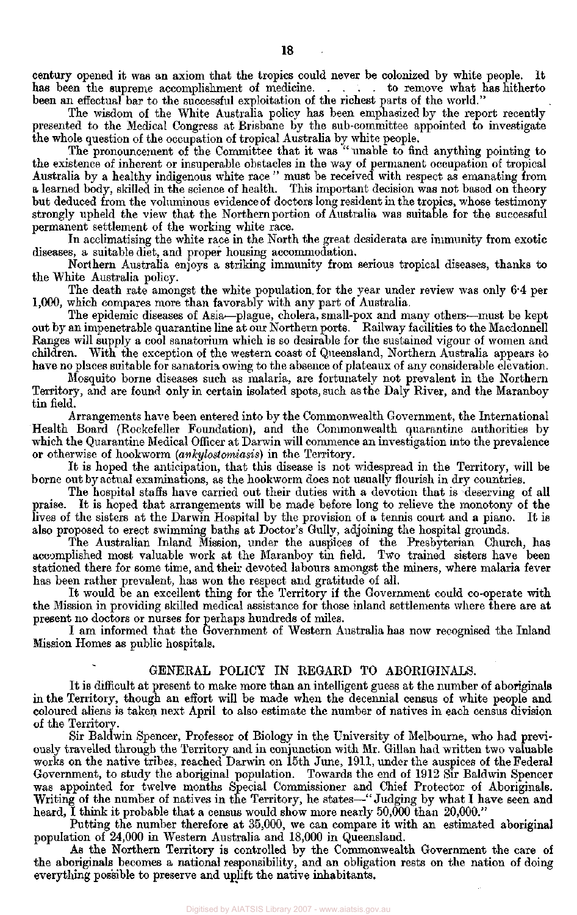century opened it was an axiom that the tropics could never be colonized by white people. It has been the supreme accomplishment of medicine..... to remove what has hitherto has been the supreme accomplishment of medicine. been an effectual bar to the successful exploitation of the richest parts of the world."

The wisdom of the White Australia policy has been emphasized by the report recently presented to the Medical Congress at Brisbane by the sub-committee appointed to investigate the whole question of the occupation of tropical Australia by white people.

The pronouncement of the Committee that it was " unable to find anything pointing to the existence of inherent or insuperable obstacles in the way of permanent occupation of tropical Australia by a healthy indigenous white race " must be received with respect as emanating from a learned body, skilled in the science of health. This important decision was not based on theory but deduced from the voluminous evidence of doctors long resident in the tropics, whose testimony strongly upheld the view that the Northern portion of Australia was suitable for the successful permanent settlement of the working white race.

In acclimatising the white race in the North the great desiderata are immunity from exotic diseases, a suitable diet, and proper housing accommodation.

Northern Australia enjoys a striking immunity from serious tropical diseases, thanks to the White Australia policy.

The death rate amongst the white population, for the year under review was only 6.4 per 1,000, which compares more than favorably with any part of Australia.

The epidemic diseases of Asia—plague, cholera, small-pox and many others-—must be kept out by an impenetrable quarantine line at our Northern ports. Railway facilities to the Macdonnell Ranges will supply a cool sanatorium which is so desirable for the sustained vigour of women and children. With the exception of the western coast of Queensland, Northern Australia appears to have no places suitable for sanatoria owing to the absence of plateaux of any considerable elevation.

Mosquito borne diseases such as malaria, are fortunately not prevalent in the Northern Territory, and are found only in certain isolated spots, such as the Daly River, and the Maranboy tin field.

Arrangements have been entered into by the Commonwealth Government, the International Health Board (Rockefeller Foundation), and the Commonwealth quarantine authorities by which the Quarantine Medical Officer at Darwin will commence an investigation into the prevalence or otherwise of hookworm *(ankylostomiasis)* in the Territory.

It is hoped the anticipation, that this disease is not widespread in the Territory, will be borne out by actual examinations, as the hookworm does not usually flourish in dry countries.

The hospital staffs have carried out their duties with a devotion that is deserving of all praise. It is hoped that arrangements will be made before long to relieve the monotony of the lives of the sisters at the Darwin Hospital by the provision of a tennis court and a piano. It is also proposed to erect swimming baths at Doctor's Gully, adjoining the hospital grounds.

The Australian Inland Mission, under the auspices of the Presbyterian Church, has accomplished most valuable work at the Maranboy tin field. Two trained sisters have been stationed there for some time, and their devoted labours amongst the miners, where malaria fever has been rather prevalent, has won the respect and gratitude of all.

It would be an excellent thing for the Territory if the Government could co-operate with the Mission in providing skilled medical assistance for those inland settlements where there are at present no doctors or nurses for perhaps hundreds of miles.

I am informed that the Government of Western Australia has now recognised the Inland Mission Homes as public hospitals.

## GENERAL POLICY IN REGARD TO ABORIGINALS.

It is difficult at present to make more than an intelligent guess at the number of aboriginals in the Territory, though an effort will be made when the decennial census of white people and coloured aliens is taken next April to also estimate the number of natives in each census division of the Territory.

Sir Baldwin Spencer, Professor of Biology in the University of Melbourne, who had previously travelled through the Territory and in conjunction with Mr. Gillan had written two valuable works on the native tribes, reached Darwin on 15th June, 1911, under the auspices of the Federal Government, to study the aboriginal population. Towards the end of 1912 Sir Baldwin Spencer was appointed for twelve months Special Commissioner and Chief Protector of Aboriginals. Writing of the number of natives in the Territory, he states—-"Judging by what I have seen and heard, I think it probable that a census would show more nearly 50,000 than 20,000."

Putting the number therefore at 35,000, we can compare it with an estimated aboriginal population of 24,000 in Western Australia and 18,000 in Queensland.

As the Northern Territory is controlled by the Commonwealth Government the care of the aboriginals becomes a national responsibility, and an obligation rests on the nation of doing everything possible to preserve and uplift the native inhabitants.

Digitised by AIATSIS Library 2007 - www.aiatsis.gov.au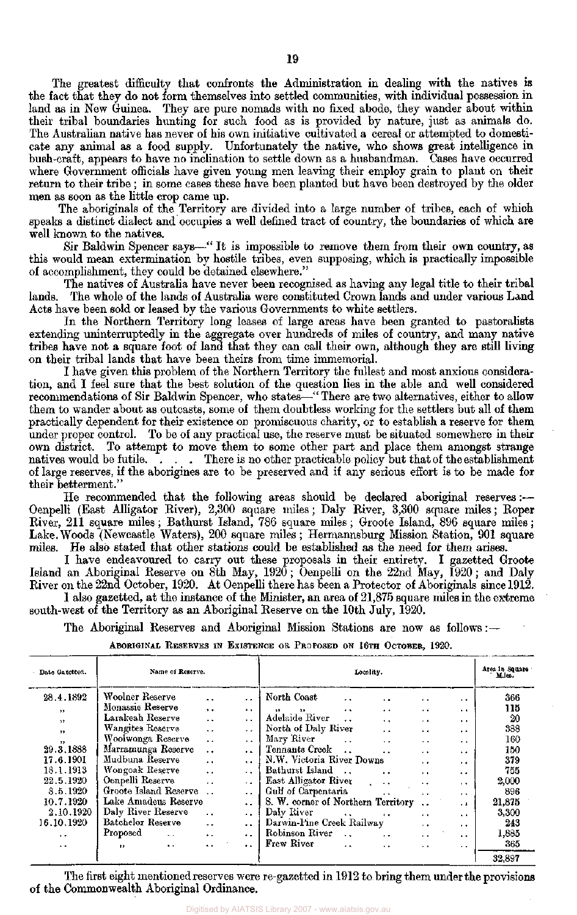The greatest difficulty that confronts the Administration in dealing with the natives is the fact that they do not form themselves into settled communities, with individual possession in land as in New Guinea. They are pure nomads with no fixed abode, they wander about within their tribal boundaries hunting for such food as is provided by nature, just as animals do. The Australian native has never of his own initiative cultivated a cereal or attempted to domesticate any animal as a food supply. Unfortunately the native, who shows great intelligence in bush-craft, appears to have no inclination to settle down as a husbandman. Cases have occurred where Government officials have given young men leaving their employ grain to plant on their return to their tribe ; in some cases these have been planted but have been destroyed by the older men as soon as the little crop came up.

The aboriginals of the Territory are divided into a large number of tribes, each of which speaks a distinct dialect and occupies a well defined tract of country, the boundaries of which are well known to the natives.

Sir Baldwin Spencer says—" It is impossible to remove them from their own country, as this would mean extermination by hostile tribes, even supposing, which is practically impossible of accomplishment, they could be detained elsewhere."

The natives of Australia have never been recognised as having any legal title to their tribal lands. The whole of the lands of Australia were constituted Crown lands and under various Land Acts have been sold or leased by the various Governments to white settlers.

In the Northern Territory long leases of large areas have been granted to pastoralists extending uninterruptedly in the aggregate over hundreds of miles of country, and many native tribes have not a square foot of land that they can call their own, although they are still living on their tribal lands that have been theirs from time immemorial.

I have given this problem of the Northern Territory the fullest and most anxious consideration, and I feel sure that the best solution of the question lies in the able and well considered recommendations of Sir Baldwin Spencer, who states—" There are two alternatives, either to allow them to wander about as outcasts, some of them doubtless working for the settlers but all of them practically dependent for their existence on promiscuous charity, or to establish a reserve for them under proper control. To be of any practical use, the reserve must be situated somewhere in their own district. To attempt to move them to some other part and place them amongst strange natives would be futile.... There is no other practicable policy but that of the establishment natively in There is no other practicable policy but that of the establishment of large reserves, if the aborigines are to be preserved and if any serious effort is to be made for their betterment."

He recommended that the following areas should be declared aboriginal reserves :— Oenpelli (East Alligator River), 2,300 square miles; Daly River, 3,300 square miles; Roper River, 211 square miles; Bathurst Island, 786 square miles; Groote Island, 896 square miles; Lake.Woods (Newcastle Waters), 200 square miles; Hermannsburg Mission Station, 901 square miles. He also stated that other stations could be established as the need for them arises.

I have endeavoured to carry out these proposals in their entirety. I gazetted Groote Island an Aboriginal Reserve on 8th May, 1920; Oenpelli on the 22nd May, 1920; and Daly River on the 22nd October, 1920. At Oenpelli there has been a Protector of Aboriginals since 1912. 1 also gazetted, at the instance of the Minister, an area of 21,875 square miles in the extreme

south-west of the Territory as an Aboriginal Reserve on the 10th July, 1920.

The Aboriginal Reserves and Aboriginal Mission Stations are now as follows: —

| ABORIGINAL RESERVES IN EXISTENCE OR PROPOSED ON 16TH OCTOBER, 1920. |  |  |  |  |  |  |  |  |  |
|---------------------------------------------------------------------|--|--|--|--|--|--|--|--|--|
|---------------------------------------------------------------------|--|--|--|--|--|--|--|--|--|

| - Date Gazetted.         | Name of Reserve.                  |                      |                      | Locality.                                                                   |                      | Area in Square<br>Mules. |        |
|--------------------------|-----------------------------------|----------------------|----------------------|-----------------------------------------------------------------------------|----------------------|--------------------------|--------|
| 28.4.1892                | Woolner Reserve                   | $\ddotsc$            | . .                  | North Coast<br>$\ddot{\phantom{0}}$<br>$\ddot{\phantom{0}}$                 | $\ddot{\bullet}$     | $\ddot{\phantom{1}}$     | 366    |
| $\rightarrow$            | Monassie Reserve                  | $\ddot{\phantom{1}}$ | $\ddot{\phantom{1}}$ | $\ddot{\phantom{1}}$<br>$\ddot{\phantom{1}}$<br>, ,<br>$\ddot{\phantom{1}}$ | $\ddot{\phantom{1}}$ | $\ddot{\phantom{1}}$     | 115    |
| $\overline{\phantom{a}}$ | Larakeah Reserve                  | $\sim$ $\sim$        | $\ddot{\phantom{1}}$ | Adelaide River<br>$\ddotsc$                                                 | $\ddot{\phantom{0}}$ | $\ddot{\phantom{1}}$     | 20     |
| $\bullet$                | Wangites Reserve                  | $\ddot{\phantom{a}}$ | $\ddot{\phantom{0}}$ | North of Daly River<br>$\sim$                                               | $\ddot{\phantom{1}}$ | $\ddot{\phantom{1}}$     | 388    |
| $\rightarrow$            | Woolwonga Reserve                 | $\ddot{\phantom{0}}$ | $\ddot{\phantom{1}}$ | Mary River<br>$\ddot{\phantom{a}}$<br>$\ddot{\phantom{1}}$                  | $\ddot{\phantom{0}}$ | $\ddot{\phantom{0}}$     | 160    |
| 29.3.1888                | Marramunga Reserve                | $\ddot{\phantom{0}}$ | $\ddot{\phantom{1}}$ | Tennants Creek<br>$\ddotsc$                                                 | $\ddot{\phantom{1}}$ | $\ddot{\phantom{1}}$     | 150    |
| 17.6.1901                | Mudbuna Reserve                   | $\ddot{\phantom{a}}$ | $\ddot{\phantom{0}}$ | N.W. Victoria River Downs                                                   | $\ddot{\phantom{0}}$ | $\ddot{\phantom{1}}$     | 379    |
| 18.1.1913                | Wongoak Reserve                   | $\ddot{\phantom{a}}$ | . .                  | Bathurst Island<br>$\ddot{\phantom{0}}$                                     | $\ddot{\phantom{0}}$ | . .                      | 755    |
| 22.5.1920                | Oenpelli Reserve                  | $\ddot{\phantom{a}}$ | $\ddot{\phantom{0}}$ | East Alligator River<br>$\ddot{\phantom{0}}$                                | $\ddot{\phantom{0}}$ | $\cdot$ .                | 2,000  |
| 8.5.1920                 | Groote Island Reserve             |                      | $\ddot{\phantom{0}}$ | Gulf of Carpentaria<br>$\ddot{\phantom{1}}$                                 | $\bullet$            | $\ddot{\phantom{1}}$     | 896    |
| 10.7.1920                | Lake Amadeus Reserve              |                      | $\ddot{\phantom{1}}$ | S. W. corner of Northern Territory                                          |                      | $\cdot$ $\cdot$          | 21,875 |
| 2.10.1920                | Daly River Reserve                | $\cdot$ .            | $\ddot{\phantom{0}}$ | Daly River<br>$\ddotsc$<br>$\ddot{\phantom{0}}$                             | $\cdot$ $\cdot$      | $\ddot{\phantom{1}}$     | 3,300  |
| 16.10.1920               | Batchelor Reserve                 | $\ddot{\phantom{0}}$ | $\ddot{\phantom{1}}$ | Darwin-Pine Creek Railway                                                   | $\ddot{\phantom{0}}$ | $\ddot{\phantom{1}}$     | 243    |
| $\ddot{\phantom{0}}$     | Proposed<br>$\ddotsc$             | $\ddot{\phantom{1}}$ | $\ddot{\phantom{0}}$ | Robinson River<br>$\sim$ $\sim$<br>$\ddot{\phantom{1}}$                     | $\cdot$ $\cdot$      | $\ddot{\phantom{1}}$     | 1,885  |
| $\ddot{\phantom{0}}$     | $\ddot{\phantom{1}}$<br>$\bullet$ | $\ddot{\phantom{0}}$ | $\ddot{\phantom{a}}$ | Frew River<br>$\ddot{\phantom{a}}$<br>$\ddot{\phantom{0}}$                  | $\ddot{\phantom{0}}$ | $\ddot{\phantom{0}}$     | 365    |
|                          |                                   |                      |                      |                                                                             |                      |                          | 32,897 |

The first eight mentioned reserves were re-gazetted in 1912 to bring them under the provisions of the Commonwealth Aboriginal Ordinance.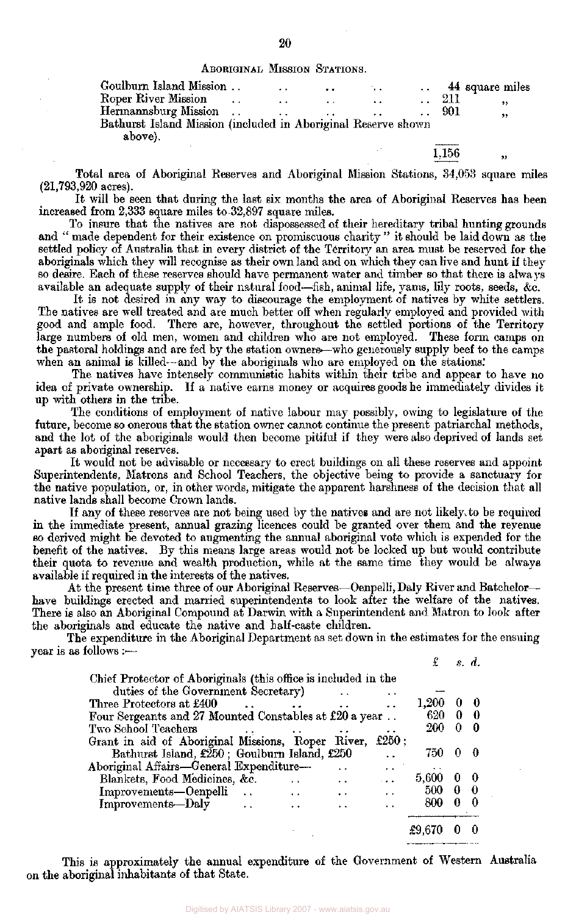ABORIGINAL MISSION STATIONS.

| Goulburn Island Mission                                       |                  | $\ddot{\phantom{1}}$ | $\cdot$ . | $\sim$ |       | 44 square miles |
|---------------------------------------------------------------|------------------|----------------------|-----------|--------|-------|-----------------|
| Roper River Mission                                           | $\sim$           |                      |           |        | 211   | ,,              |
| Hermannsburg Mission                                          | $\sim$ 100 $\mu$ |                      | $\cdots$  |        | 901   | ,,              |
| Bathurst Island Mission (included in Aboriginal Reserve shown |                  |                      |           |        |       |                 |
| above).                                                       |                  |                      |           |        |       |                 |
|                                                               |                  |                      |           |        | 1,156 |                 |

Total area of Aboriginal Reserves and Aboriginal Mission Stations, 34,053 square miles (21,793,920 acres).

It will be seen that during the last six months the area of Aboriginal Reserves has been increased from 2,333 square miles to 32,897 square miles.

To insure that the natives are not dispossessed of their hereditary tribal hunting grounds and " made dependent for their existence on promiscuous charity " it should be laid down as the settled policy of Australia that in every district of the Territory an area must be reserved for the aboriginals which they will recognise as their own land and on which they can live and hunt if they so desire. Each of these reserves should have permanent water and timber so that there is always available an adequate supply of their natural food—fish, animal life, yams, lily roots, seeds, &c.

It is not desired in any way to discourage the employment of natives by white settlers. The natives are well treated and are much better off when regularly employed and provided with good and ample food. There are, however, throughout the settled portions of the Territory large numbers of old men, women and children who are not employed. These form camps on the pastoral holdings and are fed by the station owners'—who generously supply beef to the camps when an animal is killed—and by the aboriginals who are employed on the stations.'

The natives have intensely communistic habits within their tribe and appear to have no idea of private ownership. If a native earns money or acquires goods he immediately divides it up with others in the tribe.

The conditions of employment of native labour may possibly, owing to legislature of the future, become so onerous that the station owner cannot continue the present patriarchal methods, and the lot of the aboriginals would then become pitiful if they were also deprived of lands set apart as aboriginal reserves.

It would not be advisable or necessary to erect buildings on all these reserves and appoint Superintendents, Matrons and School Teachers, the objective being to provide a sanctuary for the native population, or, in other words, mitigate the apparent harshness of the decision that all native lands shall become Crown lands.

If any of these reserves are not being used by the natives and are not likely, to be required in the immediate present, annual grazing licences could be granted over them and the revenue so derived might be devoted to augmenting the annual aboriginal vote which is expended for the benefit of the natives. By this means large areas would not be locked up but would contribute their quota to revenue and wealth production, while at the same time they would be always available if required in the interests of the natives.

At the present time three of our Aboriginal Reserves—Oenpelli, Daly River and Batchelor have buildings erected and married superintendents to look after the welfare of the natives. There is also an Aboriginal Compound at Darwin with a Superintendent and Matron to look after the aboriginals and educate the native and half-caste children.

The expenditure in the Aboriginal Department as set down in the estimates for the ensuing year is as follows :---£ *s. d.* 

| duties of the Government Secretary)                                                    |       |   |     |
|----------------------------------------------------------------------------------------|-------|---|-----|
|                                                                                        |       |   |     |
| 1,200<br>Three Protectors at £400                                                      |       | 0 | -0  |
| Four Sergeants and 27 Mounted Constables at £20 a year                                 | 620   | 0 | -0  |
| Two School Teachers                                                                    | 200   | 0 | - 0 |
| £ $250:$<br>Grant in aid of Aboriginal Missions, Roper River,                          |       |   |     |
| Bathurst Island, £250; Goulburn Island, £250                                           | 750   | 0 | - 0 |
| Aboriginal Affairs—General Expenditure—<br>И.                                          |       |   |     |
| Blankets, Food Medicines, &c.<br>متعاد                                                 | 5,600 | U | - 0 |
| Improvements-Oenpelli<br>$\sim$ $\sim$<br>$\ddot{\phantom{a}}$<br>$\ddot{\phantom{1}}$ | 500   | 0 | - 0 |
| Improvements-Daly<br>$\ddot{\phantom{0}}$<br>$\ddot{\phantom{1}}$                      | 800   | 0 | - 0 |
|                                                                                        |       |   |     |

This is approximately the annual expenditure of the Government of Western Australia on the aboriginal inhabitants of that State.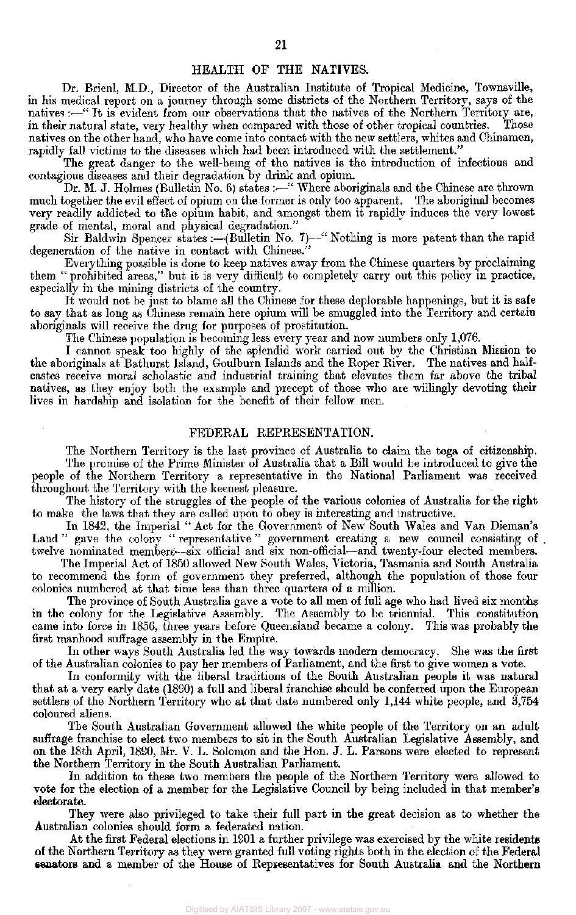## HEALTH OF THE NATIVES.

Dr. Brienl, M.D., Director of the Australian Institute of Tropical Medicine, Townsville, in his medical report on a journey through some districts of the Northern Territory, says of the natives:—" It is evident from our observations that the natives of the Northern Territory are, in their natural state, very healthy when compared with those of other tropical countries. Those in their natural state, very healthy when compared with those of other tropical countries. natives on the other hand, who have come into contact with the new settlers, whites and Chinamen, rapidly fall victims to the diseases which had been introduced with the settlement."

The great danger to the well-bemg of the natives is the introduction of infectious and contagious diseases and their degradation by drink and opium.

Dr. M. J. Holmes (Bulletin No. 6) states :—" Where aboriginals and the Chinese are thrown much together the evil effect of opium on the former is only too apparent. The aboriginal becomes very readily addicted to the opium habit, and amongst them it rapidly induces the very lowest grade of mental, moral and physical degradation."

Sir Baldwin Spencer states :---(Bulletin No. 7)--" Nothing is more patent than the rapid degeneration of the native in contact with Chinese.

Everything possible is done to keep natives away from the Chinese quarters by proclaiming them " prohibited areas," but it is very difficult to completely carry out this policy in practice, especially in the mining districts of the country.

It would not be just to blame all the Chinese for these deplorable happenings, but it is safe to say that as long as Chinese remain here opium will be smuggled into the Territory and certain aboriginals will receive the drug for purposes of prostitution.

The Chinese population is becoming less every year and now numbers only 1,076.

I cannot speak too highly of the splendid work carried out by the Christian Mission to the aboriginals at Bathurst Island, Goulburn Islands and the Roper River. The natives and halfcastes receive moral scholastic and industrial training that elevates them far above the tribal natives, as they enjoy both the example and precept of those who are willingly devoting their lives in hardship and isolation for the benefit of their fellow men.

## FEDERAL REPRESENTATION.

The Northern Territory is the last province of Australia to claim the toga of citizenship. The promise of the Prime Minister of Australia that a Bill would be introduced to give the people of the Northern Territory a representative in the National Parliament was received throughout the Territory with the keenest pleasure.

The history of the struggles of the people of the various colonies of Australia for the right to make the laws that they are called upon to obey is interesting and instructive.

In 1842, the Imperial " Act for the Government of New South Wales and Van Dieman's Land " gave the colony " representative " government creating a new council consisting of . twelve nominated members'—six official and six non-official-—and twenty-four elected members.

The Imperial Act of 1850 allowed New South Wales, Victoria, Tasmania and South Australia to recommend the form of government they preferred, although the population of those four colonies numbered at that time less than three quarters of a million.

The province of South Australia gave a vote to all men of full age who had lived six months in the colony for the Legislative Assembly. The Assembly to be triennial. This constitution came into force in 1856, three years before Queensland became a colony. This was probably the first manhood suffrage assembly in the Empire.

In other ways South Australia led the way towards modern democracy. She was the first of the Australian colonies to pay her members of Parliament, and the first to give women a vote.

In conformity with the liberal traditions of the South Australian people it was natural that at a very early date (1890) a full and liberal franchise should be conferred upon the European settlers of the Northern Territory who at that date numbered only 1,144 white people, and 3,754 coloured aliens.

The South Australian Government allowed the white people of the Territory on an adult suffrage franchise to elect two members to sit in the South Australian Legislative Assembly, and on the 18th April, 1890, Mr. V. L. Solomon and the Hon. J. L. Parsons were elected to represent the Northern Territory in the South Australian Parliament.

In addition to these two members the people of the Northern Territory were allowed to vote for the election of a member for the Legislative Council by being included in that member's electorate.

They were also privileged to take their full part in the great decision as to whether the Australian colonies should form a federated nation.

At the first Federal elections in 1901 a further privilege was exercised by the white residents of the Northern Territory as they were granted full voting rights both in the election of the **Federal senators** and a member of the House of Representatives for South Australia and the Northern

Digitised by AIATSIS Library 2007 - www.aiatsis.gov.au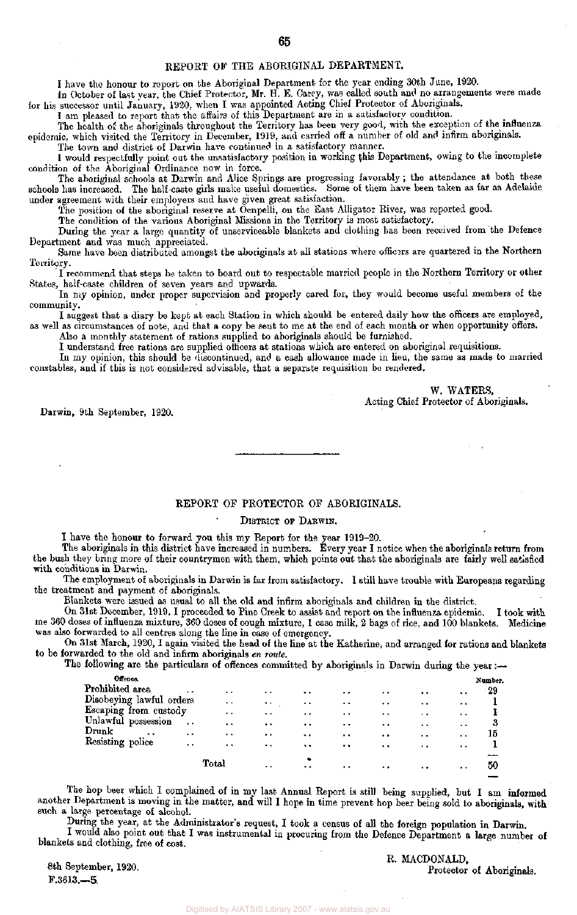## REPORT OF THE ABORIGINAL DEPARTMENT.

I have the honour to report on the Aboriginal Department for the year ending 30th June, 1920.

In October of last year, the Chief Protector, Mr. H. E. Carey, was called south and no arrangements were made for his successor until January, 1920, when I was appointed Acting Chief Protector of Aboriginals.

I am pleased to report that the affairs of this Department are in a satisfactory condition.

The health of the aboriginals throughout the Territory has been very good, with the exception of the influenza epidemic, which visited the Territory in December, 1919, and carried off a number of old and infirm aboriginals.

The town and district of Darwin have continued in a satisfactory manner. I would respectfully point out the unsatisfactory position in working this Department, owing to the incomplete condition of the Aboriginal Ordinance now in force.

The aboriginal schools at Darwin and Alice Springs are progressing favorably; the attendance at both these schools has increased. The half-caste girls make useful domestics. Some of them have been taken as far as Adelaide under agreement with their employers and have given great satisfaction.

The position of the aboriginal reserve at Oenpelli, on the East Alligator River, was reported good.

The condition of the various Aboriginal Missions in the Territory is most satisfactory.

During the year a large quantity of unserviceable blankets and clothing has been received from the Defence Department and was much appreciated.

Same have been distributed amongst the aboriginals at all stations where officers are quartered in the Northern Territory.

I recommend that steps be taken to board out to respectable married people in the Northern Territory or other States, half-caste children of seven years and upwards.

In my opinion, under proper supervision and properly cared for, they would become useful members of the community.

I suggest that a diary be kept at each Station in which should be entered daily how the officers are employed, as well as circumstances of note, and that a copy be sent to me at the end of each month or when opportunity offers.

Also a monthly statement of rations supplied to aboriginals should be furnished.

I understand free rations are supplied officers at stations which are entered on aboriginal requisitions.

In my opinion, this should be discontinued, and a cash allowance made in lieu, the same as made to married constables, and if this is not considered advisable, that a separate requisition be rendered.

> W. WATERS, Acting Chief Protector of Aboriginals.

Darwin, 9th September, 1920.

### REPORT OF PROTECTOR OF ABORIGINALS.

#### DISTRICT OF DARWIN.

I have the honour to forward you this my Report for the year 1919-20.

The aboriginals in this district have increased in numbers. Every year I notice when the aboriginals return from the bush they bring more of their countrymen with them, which points out that the aboriginals are fairly well satisfied with conditions in Darwin.

The employment of aboriginals in Darwin is far from satisfactory. I still have trouble with Europeans regarding the treatment and payment of aboriginals.

Blankets were issued as usual to all the old and infirm aboriginals and children in the district.

On 31st December, 1919,I proceeded to Pine Creek to assist and report on the influenza epidemic. I took with me 360 doses of influenza mixture, 360 doses of cough mixture, 1 case milk, 2 bags of rice, and 100 blankets. Medicine was also forwarded to all centres along the line in case of emergency.

On 31st March, 1920, I again visited the head of the line at the Katherine, and arranged for rations and blankets to be forwarded to the old and infirm aboriginals *en route.* 

The following are the particulars of offences committed by aboriginals in Darwin during the year:—

| Number. |                      |                      |                      |                      |                      |                      |                      |                      |                          | Offence.                  |
|---------|----------------------|----------------------|----------------------|----------------------|----------------------|----------------------|----------------------|----------------------|--------------------------|---------------------------|
| - 29    | $\ddot{\phantom{0}}$ | . .                  | $\cdot$ .            | $\ddot{\phantom{1}}$ | $\ddotsc$            | $\ddot{\phantom{1}}$ | $\ddot{\phantom{1}}$ | $\ddot{\phantom{1}}$ |                          | Prohibited area           |
|         | $\ddot{\phantom{0}}$ | $\bullet$ .          | $\ddot{\phantom{0}}$ | $\ddot{\phantom{1}}$ | $\ddot{\phantom{1}}$ | $\ddotsc$            | $\bullet\bullet$     |                      | Disobeying lawful orders |                           |
|         | $\cdots$             | $\cdot$ $\cdot$      | $\ddot{\phantom{1}}$ | $\ddot{\phantom{0}}$ | $\ddot{\phantom{1}}$ | $\ddot{\phantom{0}}$ | $\bullet$            |                      | Escaping from custody    |                           |
|         | . .                  | $\cdots$             | $\ddot{\phantom{0}}$ | $\ddot{\phantom{1}}$ | $\bullet$ $\bullet$  | $\ddot{\phantom{1}}$ | $\cdots$             | $\ddot{\phantom{0}}$ |                          |                           |
| 15      | $\cdot$              | $\cdot$              | $\ddot{\phantom{1}}$ | $\ddot{\phantom{1}}$ | $+ -$                | $\ddot{\phantom{1}}$ | $\cdot$ .            | $\ddot{\phantom{1}}$ | $\ddot{\phantom{1}}$     |                           |
|         | $\cdots$             | $\cdot$              | $\cdot$ .            | $\cdot$ .            | $\ddot{\phantom{1}}$ | $\bullet$            | $\ddot{\phantom{0}}$ | $\cdots$             |                          |                           |
|         |                      |                      |                      |                      |                      |                      |                      |                      |                          |                           |
| 50      | $\bullet\bullet$     | $\ddot{\phantom{1}}$ | $\ddot{\phantom{0}}$ | $\bullet$ $\bullet$  | $\bullet$            | $\cdot$ $\cdot$      | Total                |                      |                          |                           |
|         |                      |                      |                      |                      | ٠                    |                      |                      |                      | Unlawful possession      | Drunk<br>Resisting police |

The hop beer which I complained of in my last Annual Report is still being supplied, but I am informed another Department is moving in the matter, and will I hope in time prevent hop beer being sold to aboriginals, with such a large percentage of alcohol.

During the year, at the Administrator's request, I took a census of all the foreign population in Darwin. I would also point out that I was instrumental in procuring from the Defence Department a large number of

blankets and clothing, free of cost.

8th September, 1920. F.3613.—5.

R. MACDONALD, Protector of Aboriginals